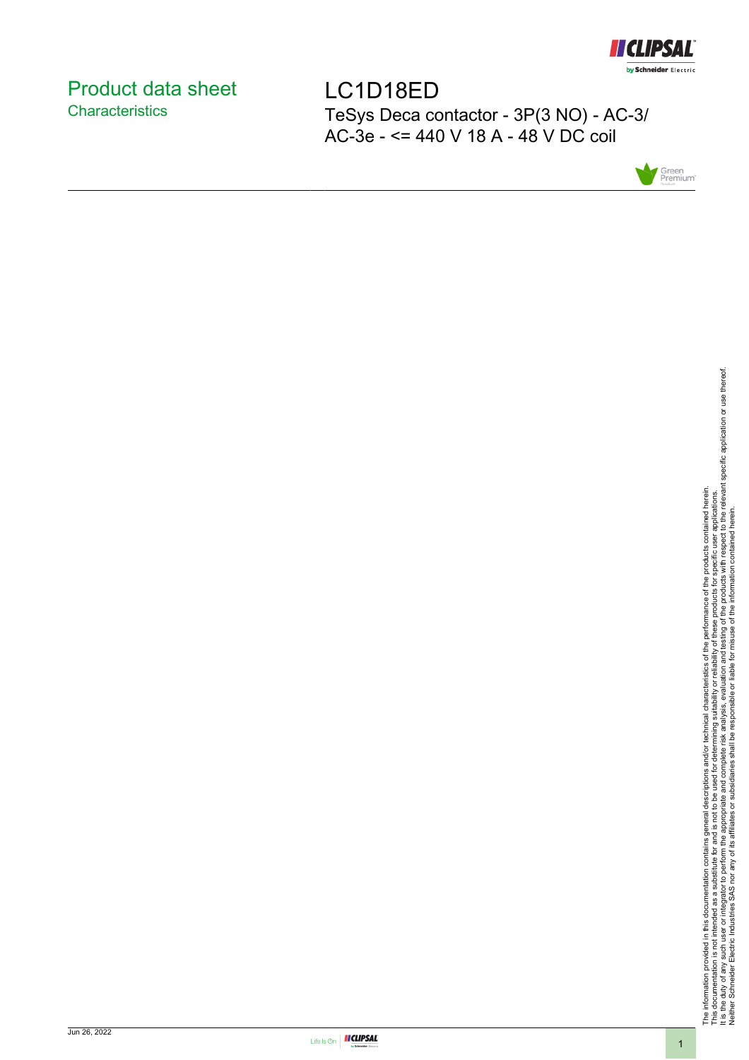

## <span id="page-0-0"></span>Product data sheet **Characteristics**

LC1D18ED TeSys Deca contactor - 3P(3 NO) - AC-3/ AC-3e - <= 440 V 18 A - 48 V DC coil



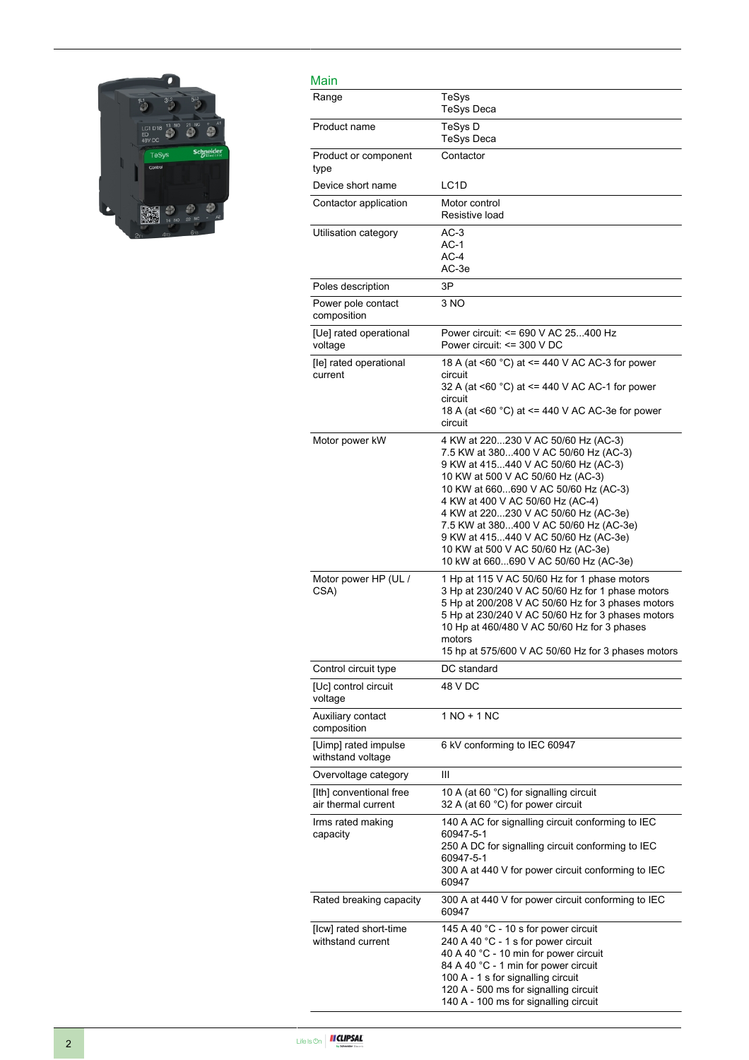

| Main                                           |                                                                                                                                                                                                                                                                                                                                                                                                                                               |
|------------------------------------------------|-----------------------------------------------------------------------------------------------------------------------------------------------------------------------------------------------------------------------------------------------------------------------------------------------------------------------------------------------------------------------------------------------------------------------------------------------|
| Range                                          | TeSys<br><b>TeSys Deca</b>                                                                                                                                                                                                                                                                                                                                                                                                                    |
| Product name                                   | TeSys D<br>TeSys Deca                                                                                                                                                                                                                                                                                                                                                                                                                         |
| Product or component<br>type                   | Contactor                                                                                                                                                                                                                                                                                                                                                                                                                                     |
| Device short name                              | LC <sub>1</sub> D                                                                                                                                                                                                                                                                                                                                                                                                                             |
| Contactor application                          | Motor control<br>Resistive load                                                                                                                                                                                                                                                                                                                                                                                                               |
| Utilisation category                           | $AC-3$<br>$AC-1$<br>$AC-4$<br>AC-3e                                                                                                                                                                                                                                                                                                                                                                                                           |
| Poles description                              | 3P                                                                                                                                                                                                                                                                                                                                                                                                                                            |
| Power pole contact<br>composition              | 3 NO                                                                                                                                                                                                                                                                                                                                                                                                                                          |
| [Ue] rated operational<br>voltage              | Power circuit: <= 690 V AC 25400 Hz<br>Power circuit: $\leq$ 300 V DC                                                                                                                                                                                                                                                                                                                                                                         |
| [le] rated operational<br>current              | 18 A (at <60 °C) at <= 440 V AC AC-3 for power<br>circuit<br>32 A (at <60 °C) at <= 440 V AC AC-1 for power<br>circuit<br>18 A (at <60 °C) at <= 440 V AC AC-3e for power<br>circuit                                                                                                                                                                                                                                                          |
| Motor power kW                                 | 4 KW at 220230 V AC 50/60 Hz (AC-3)<br>7.5 KW at 380400 V AC 50/60 Hz (AC-3)<br>9 KW at 415440 V AC 50/60 Hz (AC-3)<br>10 KW at 500 V AC 50/60 Hz (AC-3)<br>10 KW at 660690 V AC 50/60 Hz (AC-3)<br>4 KW at 400 V AC 50/60 Hz (AC-4)<br>4 KW at 220230 V AC 50/60 Hz (AC-3e)<br>7.5 KW at 380400 V AC 50/60 Hz (AC-3e)<br>9 KW at 415440 V AC 50/60 Hz (AC-3e)<br>10 KW at 500 V AC 50/60 Hz (AC-3e)<br>10 kW at 660690 V AC 50/60 Hz (AC-3e) |
| Motor power HP (UL /<br>CSA)                   | 1 Hp at 115 V AC 50/60 Hz for 1 phase motors<br>3 Hp at 230/240 V AC 50/60 Hz for 1 phase motors<br>5 Hp at 200/208 V AC 50/60 Hz for 3 phases motors<br>5 Hp at 230/240 V AC 50/60 Hz for 3 phases motors<br>10 Hp at 460/480 V AC 50/60 Hz for 3 phases<br>motors<br>15 hp at 575/600 V AC 50/60 Hz for 3 phases motors                                                                                                                     |
| Control circuit type                           | DC standard                                                                                                                                                                                                                                                                                                                                                                                                                                   |
| [Uc] control circuit<br>voltage                | 48 V DC                                                                                                                                                                                                                                                                                                                                                                                                                                       |
| Auxiliary contact<br>composition               | 1 NO + 1 NC                                                                                                                                                                                                                                                                                                                                                                                                                                   |
| [Uimp] rated impulse<br>withstand voltage      | 6 kV conforming to IEC 60947                                                                                                                                                                                                                                                                                                                                                                                                                  |
| Overvoltage category                           | Ш                                                                                                                                                                                                                                                                                                                                                                                                                                             |
| [Ith] conventional free<br>air thermal current | 10 A (at 60 °C) for signalling circuit<br>32 A (at 60 °C) for power circuit                                                                                                                                                                                                                                                                                                                                                                   |
| Irms rated making<br>capacity                  | 140 A AC for signalling circuit conforming to IEC<br>60947-5-1<br>250 A DC for signalling circuit conforming to IEC<br>60947-5-1<br>300 A at 440 V for power circuit conforming to IEC<br>60947                                                                                                                                                                                                                                               |
| Rated breaking capacity                        | 300 A at 440 V for power circuit conforming to IEC<br>60947                                                                                                                                                                                                                                                                                                                                                                                   |
| [Icw] rated short-time<br>withstand current    | 145 A 40 °C - 10 s for power circuit<br>240 A 40 °C - 1 s for power circuit<br>40 A 40 °C - 10 min for power circuit<br>84 A 40 °C - 1 min for power circuit<br>100 A - 1 s for signalling circuit<br>120 A - 500 ms for signalling circuit<br>140 A - 100 ms for signalling circuit                                                                                                                                                          |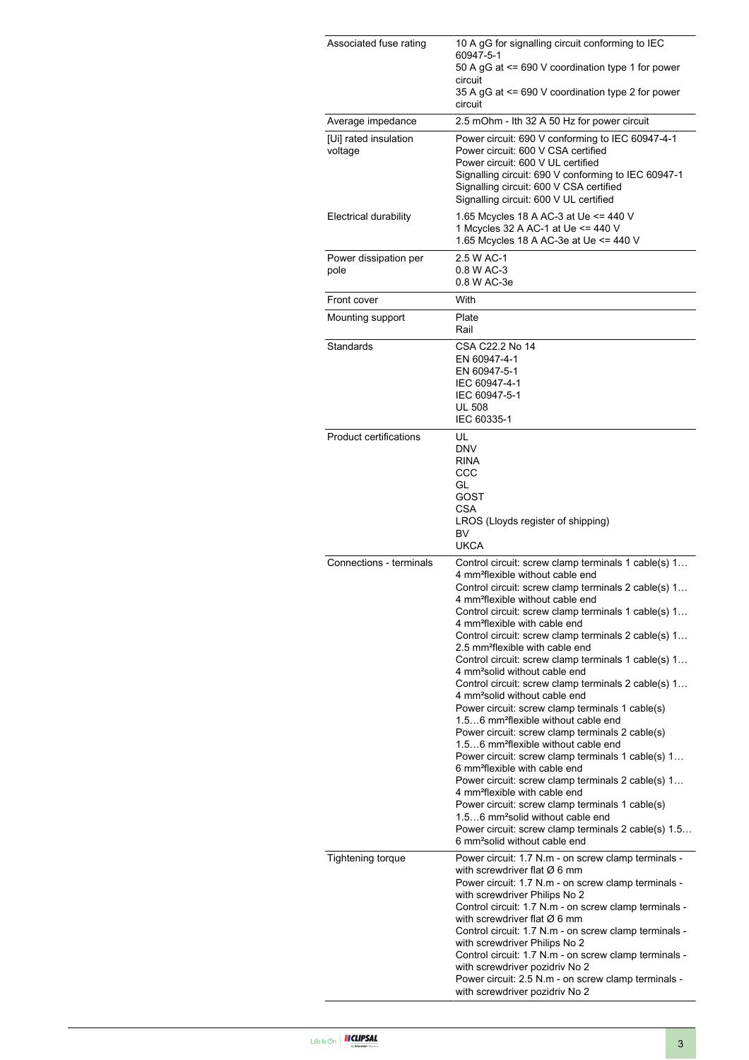| Associated fuse rating           | 10 A gG for signalling circuit conforming to IEC<br>60947-5-1<br>50 A gG at <= 690 V coordination type 1 for power<br>circuit<br>35 A gG at <= 690 V coordination type 2 for power<br>circuit                                                                                                                                                                                                                                                                                                                                                                                                                                                                                                                                                                                                                                                                                                                                                                                                                                                                                                                                                                                                                                                       |  |
|----------------------------------|-----------------------------------------------------------------------------------------------------------------------------------------------------------------------------------------------------------------------------------------------------------------------------------------------------------------------------------------------------------------------------------------------------------------------------------------------------------------------------------------------------------------------------------------------------------------------------------------------------------------------------------------------------------------------------------------------------------------------------------------------------------------------------------------------------------------------------------------------------------------------------------------------------------------------------------------------------------------------------------------------------------------------------------------------------------------------------------------------------------------------------------------------------------------------------------------------------------------------------------------------------|--|
| Average impedance                | 2.5 mOhm - Ith 32 A 50 Hz for power circuit                                                                                                                                                                                                                                                                                                                                                                                                                                                                                                                                                                                                                                                                                                                                                                                                                                                                                                                                                                                                                                                                                                                                                                                                         |  |
| [Ui] rated insulation<br>voltage | Power circuit: 690 V conforming to IEC 60947-4-1<br>Power circuit: 600 V CSA certified<br>Power circuit: 600 V UL certified<br>Signalling circuit: 690 V conforming to IEC 60947-1<br>Signalling circuit: 600 V CSA certified<br>Signalling circuit: 600 V UL certified                                                                                                                                                                                                                                                                                                                                                                                                                                                                                                                                                                                                                                                                                                                                                                                                                                                                                                                                                                             |  |
| Electrical durability            | 1.65 Mcycles 18 A AC-3 at Ue <= 440 V<br>1 Mcycles 32 A AC-1 at Ue <= 440 V<br>1.65 Mcycles 18 A AC-3e at Ue <= 440 V                                                                                                                                                                                                                                                                                                                                                                                                                                                                                                                                                                                                                                                                                                                                                                                                                                                                                                                                                                                                                                                                                                                               |  |
| Power dissipation per<br>pole    | 2.5 W AC-1<br>0.8 W AC-3<br>0.8 W AC-3e                                                                                                                                                                                                                                                                                                                                                                                                                                                                                                                                                                                                                                                                                                                                                                                                                                                                                                                                                                                                                                                                                                                                                                                                             |  |
| Front cover                      | With                                                                                                                                                                                                                                                                                                                                                                                                                                                                                                                                                                                                                                                                                                                                                                                                                                                                                                                                                                                                                                                                                                                                                                                                                                                |  |
| Mounting support                 | Plate<br>Rail                                                                                                                                                                                                                                                                                                                                                                                                                                                                                                                                                                                                                                                                                                                                                                                                                                                                                                                                                                                                                                                                                                                                                                                                                                       |  |
| Standards                        | CSA C22.2 No 14<br>EN 60947-4-1<br>EN 60947-5-1<br>IEC 60947-4-1<br>IEC 60947-5-1<br><b>UL 508</b><br>IEC 60335-1                                                                                                                                                                                                                                                                                                                                                                                                                                                                                                                                                                                                                                                                                                                                                                                                                                                                                                                                                                                                                                                                                                                                   |  |
| <b>Product certifications</b>    | UL<br><b>DNV</b><br><b>RINA</b><br>CCC<br>GL<br>GOST<br>CSA<br>LROS (Lloyds register of shipping)<br>BV<br><b>UKCA</b>                                                                                                                                                                                                                                                                                                                                                                                                                                                                                                                                                                                                                                                                                                                                                                                                                                                                                                                                                                                                                                                                                                                              |  |
| Connections - terminals          | Control circuit: screw clamp terminals 1 cable(s) 1<br>4 mm <sup>2</sup> flexible without cable end<br>Control circuit: screw clamp terminals 2 cable(s) 1<br>4 mm <sup>2</sup> flexible without cable end<br>Control circuit: screw clamp terminals 1 cable(s) 1<br>4 mm <sup>2</sup> flexible with cable end<br>Control circuit: screw clamp terminals 2 cable(s) 1<br>2.5 mm <sup>2</sup> flexible with cable end<br>Control circuit: screw clamp terminals 1 cable(s) 1<br>4 mm <sup>2</sup> solid without cable end<br>Control circuit: screw clamp terminals 2 cable(s) 1<br>4 mm <sup>2</sup> solid without cable end<br>Power circuit: screw clamp terminals 1 cable(s)<br>1.56 mm <sup>2</sup> flexible without cable end<br>Power circuit: screw clamp terminals 2 cable(s)<br>1.56 mm <sup>2</sup> flexible without cable end<br>Power circuit: screw clamp terminals 1 cable(s) 1<br>6 mm <sup>2</sup> flexible with cable end<br>Power circuit: screw clamp terminals 2 cable(s) 1<br>4 mm <sup>2</sup> flexible with cable end<br>Power circuit: screw clamp terminals 1 cable(s)<br>1.56 mm <sup>2</sup> solid without cable end<br>Power circuit: screw clamp terminals 2 cable(s) 1.5<br>6 mm <sup>2</sup> solid without cable end |  |
| <b>Tightening torque</b>         | Power circuit: 1.7 N.m - on screw clamp terminals -<br>with screwdriver flat $\varnothing$ 6 mm<br>Power circuit: 1.7 N.m - on screw clamp terminals -<br>with screwdriver Philips No 2<br>Control circuit: 1.7 N.m - on screw clamp terminals -<br>with screwdriver flat $\varnothing$ 6 mm<br>Control circuit: 1.7 N.m - on screw clamp terminals -<br>with screwdriver Philips No 2<br>Control circuit: 1.7 N.m - on screw clamp terminals -<br>with screwdriver pozidriv No 2<br>Power circuit: 2.5 N.m - on screw clamp terminals -<br>with screwdriver pozidriv No 2                                                                                                                                                                                                                                                                                                                                                                                                                                                                                                                                                                                                                                                                          |  |

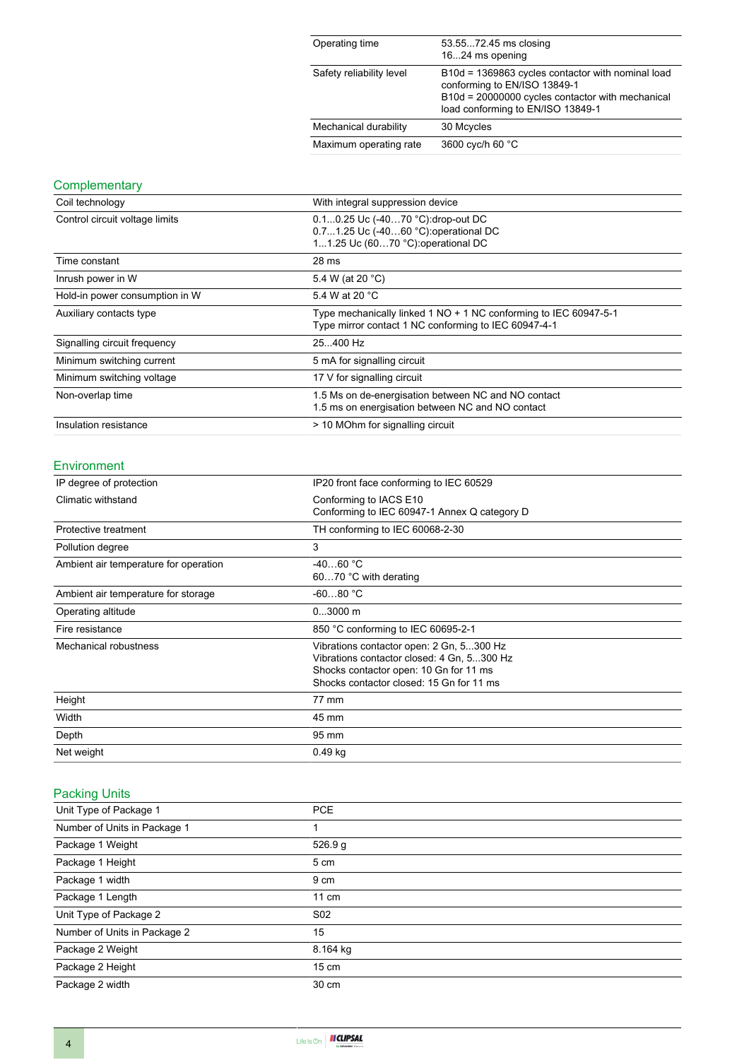| Operating time           | 53.5572.45 ms closing<br>1624 ms opening                                                                                                                                   |
|--------------------------|----------------------------------------------------------------------------------------------------------------------------------------------------------------------------|
| Safety reliability level | B10d = 1369863 cycles contactor with nominal load<br>conforming to EN/ISO 13849-1<br>B10d = 20000000 cycles contactor with mechanical<br>load conforming to EN/ISO 13849-1 |
| Mechanical durability    | 30 Mcycles                                                                                                                                                                 |
| Maximum operating rate   | 3600 cyc/h 60 °C                                                                                                                                                           |

### **Complementary**

| Coil technology                | With integral suppression device                                                                                         |  |
|--------------------------------|--------------------------------------------------------------------------------------------------------------------------|--|
| Control circuit voltage limits | 0.10.25 Uc (-4070 °C): drop-out DC<br>0.71.25 Uc (-4060 °C): operational DC<br>11.25 Uc (6070 °C): operational DC        |  |
| Time constant                  | 28 ms                                                                                                                    |  |
| Inrush power in W              | 5.4 W (at 20 °C)                                                                                                         |  |
| Hold-in power consumption in W | 5.4 W at 20 °C                                                                                                           |  |
| Auxiliary contacts type        | Type mechanically linked 1 NO + 1 NC conforming to IEC 60947-5-1<br>Type mirror contact 1 NC conforming to IEC 60947-4-1 |  |
| Signalling circuit frequency   | 25400 Hz                                                                                                                 |  |
| Minimum switching current      | 5 mA for signalling circuit                                                                                              |  |
| Minimum switching voltage      | 17 V for signalling circuit                                                                                              |  |
| Non-overlap time               | 1.5 Ms on de-energisation between NC and NO contact<br>1.5 ms on energisation between NC and NO contact                  |  |
| Insulation resistance          | > 10 MOhm for signalling circuit                                                                                         |  |

#### Environment

| IP degree of protection               | IP20 front face conforming to IEC 60529                                                                                                                                      |  |
|---------------------------------------|------------------------------------------------------------------------------------------------------------------------------------------------------------------------------|--|
| Climatic withstand                    | Conforming to IACS E10<br>Conforming to IEC 60947-1 Annex Q category D                                                                                                       |  |
| Protective treatment                  | TH conforming to IEC 60068-2-30                                                                                                                                              |  |
| Pollution degree                      | 3                                                                                                                                                                            |  |
| Ambient air temperature for operation | $-4060 °C$<br>6070 °C with derating                                                                                                                                          |  |
| Ambient air temperature for storage   | $-6080 °C$                                                                                                                                                                   |  |
| Operating altitude                    | $03000$ m                                                                                                                                                                    |  |
| Fire resistance                       | 850 °C conforming to IEC 60695-2-1                                                                                                                                           |  |
| Mechanical robustness                 | Vibrations contactor open: 2 Gn, 5300 Hz<br>Vibrations contactor closed: 4 Gn, 5300 Hz<br>Shocks contactor open: 10 Gn for 11 ms<br>Shocks contactor closed: 15 Gn for 11 ms |  |
| Height                                | 77 mm                                                                                                                                                                        |  |
| Width                                 | 45 mm                                                                                                                                                                        |  |
| Depth                                 | 95 mm                                                                                                                                                                        |  |
| Net weight                            | $0.49$ kg                                                                                                                                                                    |  |

#### Packing Units

| Unit Type of Package 1       | <b>PCE</b>      |  |
|------------------------------|-----------------|--|
| Number of Units in Package 1 |                 |  |
| Package 1 Weight             | 526.9 g         |  |
| Package 1 Height             | 5 cm            |  |
| Package 1 width              | 9 cm            |  |
| Package 1 Length             | $11 \text{ cm}$ |  |
| Unit Type of Package 2       | S <sub>02</sub> |  |
| Number of Units in Package 2 | 15              |  |
| Package 2 Weight             | 8.164 kg        |  |
| Package 2 Height             | $15 \text{ cm}$ |  |
| Package 2 width              | 30 cm           |  |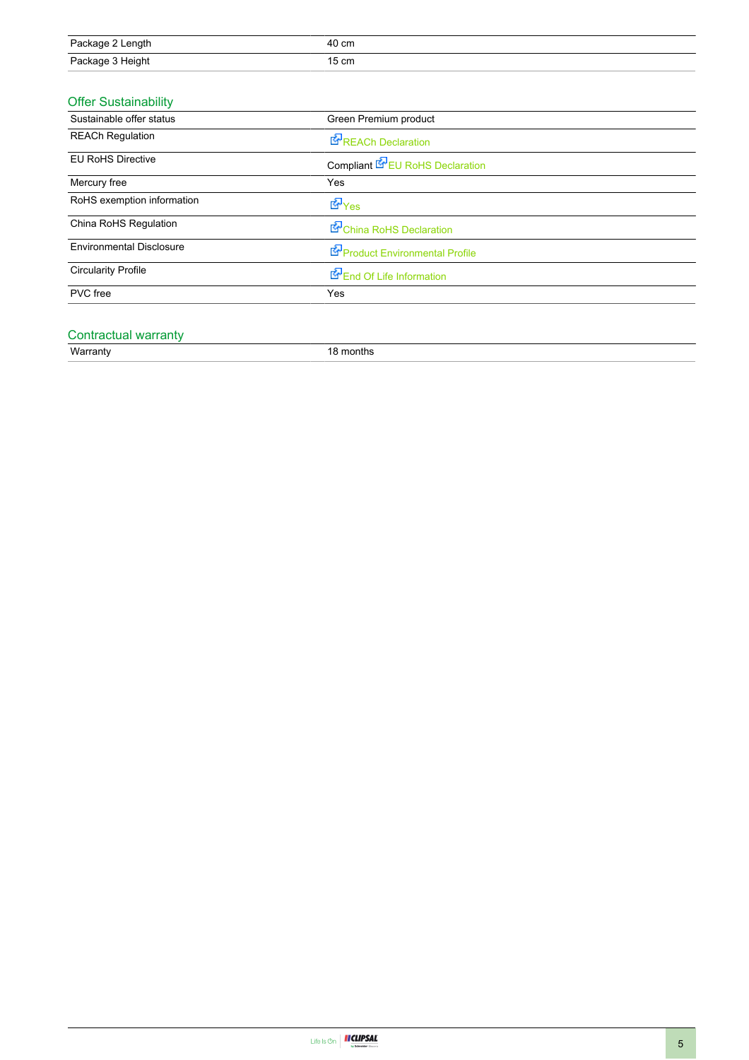| Package 2 Length | 40 cm |
|------------------|-------|
| Package 3 Height | 15 cm |

#### Offer Sustainability

| Green Premium product           |  |
|---------------------------------|--|
| <b>REACh Declaration</b>        |  |
| Compliant EPEU RoHS Declaration |  |
| Yes                             |  |
| d Yes                           |  |
| China RoHS Declaration          |  |
| Product Environmental Profile   |  |
| End Of Life Information         |  |
| Yes                             |  |
|                                 |  |

#### Contractual warranty

Warranty 18 months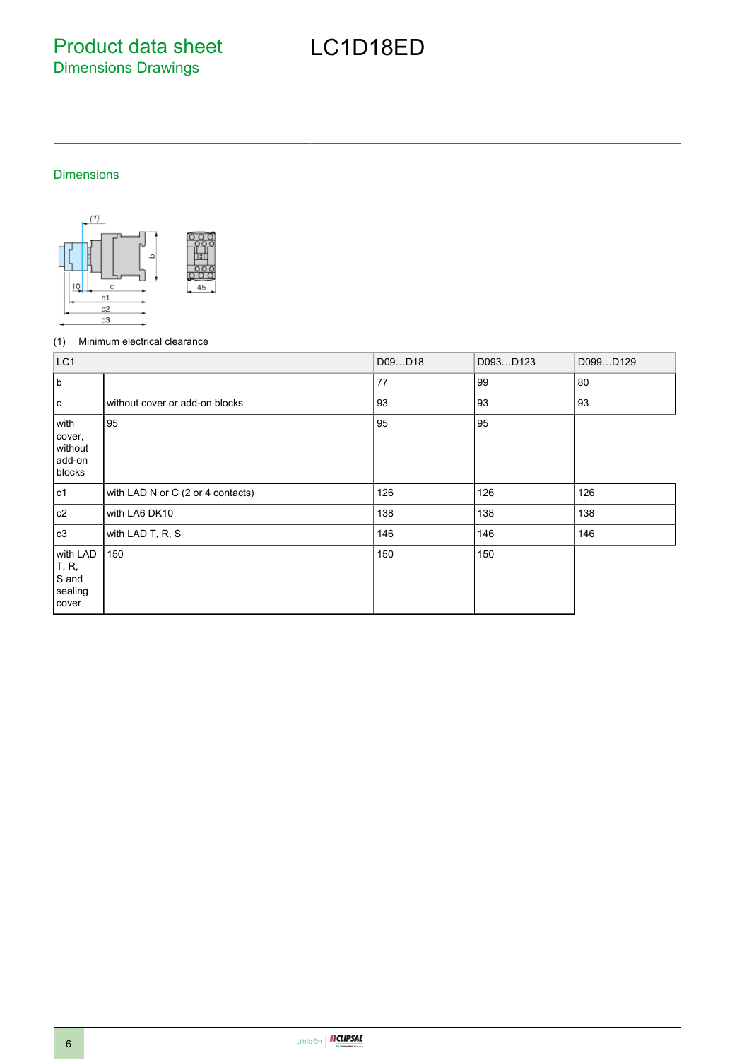Product data sheet Dimensions Drawings

# LC1D18ED

#### Dimensions



#### (1) Minimum electrical clearance

| LC <sub>1</sub>                                |                                   | D09D18 | D093D123 | D099D129 |
|------------------------------------------------|-----------------------------------|--------|----------|----------|
| b                                              |                                   | 77     | 99       | 80       |
| c                                              | without cover or add-on blocks    | 93     | 93       | 93       |
| with<br>cover,<br>without<br>add-on<br>blocks  | 95                                | 95     | 95       |          |
| c1                                             | with LAD N or C (2 or 4 contacts) | 126    | 126      | 126      |
| c2                                             | with LA6 DK10                     | 138    | 138      | 138      |
| c3                                             | with LAD T, R, S                  | 146    | 146      | 146      |
| with LAD<br>T, R,<br>S and<br>sealing<br>cover | 150                               | 150    | 150      |          |